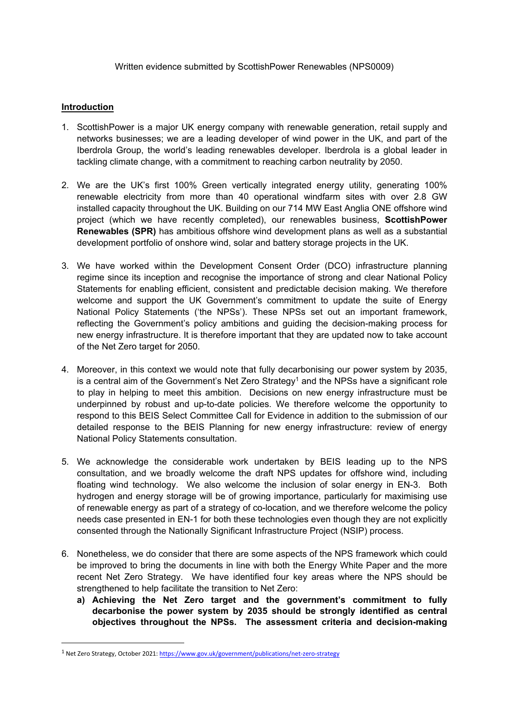### Written evidence submitted by ScottishPower Renewables (NPS0009)

# **Introduction**

- 1. ScottishPower is a major UK energy company with renewable generation, retail supply and networks businesses; we are a leading developer of wind power in the UK, and part of the Iberdrola Group, the world's leading renewables developer. Iberdrola is a global leader in tackling climate change, with a commitment to reaching carbon neutrality by 2050.
- 2. We are the UK's first 100% Green vertically integrated energy utility, generating 100% renewable electricity from more than 40 operational windfarm sites with over 2.8 GW installed capacity throughout the UK. Building on our 714 MW East Anglia ONE offshore wind project (which we have recently completed), our renewables business, **ScottishPower Renewables (SPR)** has ambitious offshore wind development plans as well as a substantial development portfolio of onshore wind, solar and battery storage projects in the UK.
- 3. We have worked within the Development Consent Order (DCO) infrastructure planning regime since its inception and recognise the importance of strong and clear National Policy Statements for enabling efficient, consistent and predictable decision making. We therefore welcome and support the UK Government's commitment to update the suite of Energy National Policy Statements ('the NPSs'). These NPSs set out an important framework, reflecting the Government's policy ambitions and guiding the decision-making process for new energy infrastructure. It is therefore important that they are updated now to take account of the Net Zero target for 2050.
- 4. Moreover, in this context we would note that fully decarbonising our power system by 2035, is a central aim of the Government's Net Zero Strategy<sup>1</sup> and the NPSs have a significant role to play in helping to meet this ambition. Decisions on new energy infrastructure must be underpinned by robust and up-to-date policies. We therefore welcome the opportunity to respond to this BEIS Select Committee Call for Evidence in addition to the submission of our detailed response to the BEIS Planning for new energy infrastructure: review of energy National Policy Statements consultation.
- 5. We acknowledge the considerable work undertaken by BEIS leading up to the NPS consultation, and we broadly welcome the draft NPS updates for offshore wind, including floating wind technology. We also welcome the inclusion of solar energy in EN-3. Both hydrogen and energy storage will be of growing importance, particularly for maximising use of renewable energy as part of a strategy of co-location, and we therefore welcome the policy needs case presented in EN-1 for both these technologies even though they are not explicitly consented through the Nationally Significant Infrastructure Project (NSIP) process.
- 6. Nonetheless, we do consider that there are some aspects of the NPS framework which could be improved to bring the documents in line with both the Energy White Paper and the more recent Net Zero Strategy. We have identified four key areas where the NPS should be strengthened to help facilitate the transition to Net Zero:
	- **a) Achieving the Net Zero target and the government's commitment to fully decarbonise the power system by 2035 should be strongly identified as central objectives throughout the NPSs. The assessment criteria and decision-making**

<sup>1</sup> Net Zero Strategy, October 2021: <https://www.gov.uk/government/publications/net-zero-strategy>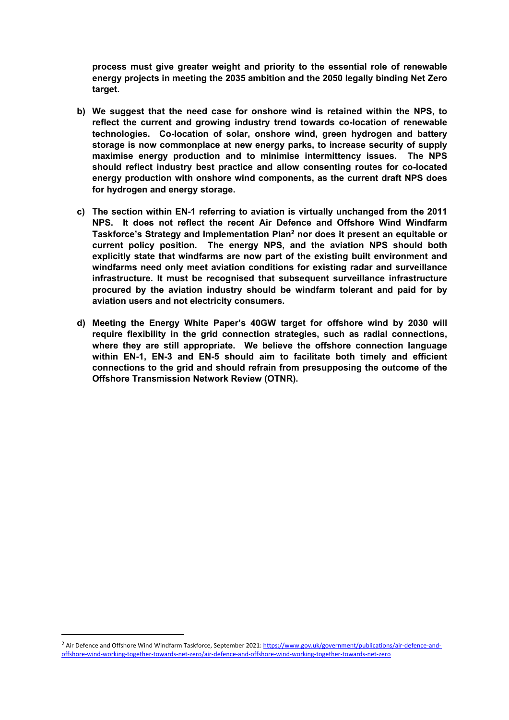**process must give greater weight and priority to the essential role of renewable energy projects in meeting the 2035 ambition and the 2050 legally binding Net Zero target.**

- **b) We suggest that the need case for onshore wind is retained within the NPS, to reflect the current and growing industry trend towards co-location of renewable technologies. Co-location of solar, onshore wind, green hydrogen and battery storage is now commonplace at new energy parks, to increase security of supply maximise energy production and to minimise intermittency issues. The NPS should reflect industry best practice and allow consenting routes for co-located energy production with onshore wind components, as the current draft NPS does for hydrogen and energy storage.**
- **c) The section within EN-1 referring to aviation is virtually unchanged from the 2011 NPS. It does not reflect the recent Air Defence and Offshore Wind Windfarm Taskforce's Strategy and Implementation Plan<sup>2</sup> nor does it present an equitable or current policy position. The energy NPS, and the aviation NPS should both explicitly state that windfarms are now part of the existing built environment and windfarms need only meet aviation conditions for existing radar and surveillance infrastructure. It must be recognised that subsequent surveillance infrastructure procured by the aviation industry should be windfarm tolerant and paid for by aviation users and not electricity consumers.**
- **d) Meeting the Energy White Paper's 40GW target for offshore wind by 2030 will require flexibility in the grid connection strategies, such as radial connections, where they are still appropriate. We believe the offshore connection language within EN-1, EN-3 and EN-5 should aim to facilitate both timely and efficient connections to the grid and should refrain from presupposing the outcome of the Offshore Transmission Network Review (OTNR).**

<sup>&</sup>lt;sup>2</sup> Air Defence and Offshore Wind Windfarm Taskforce, September 2021: [https://www.gov.uk/government/publications/air-defence-and](https://www.gov.uk/government/publications/air-defence-and-offshore-wind-working-together-towards-net-zero/air-defence-and-offshore-wind-working-together-towards-net-zero)[offshore-wind-working-together-towards-net-zero/air-defence-and-offshore-wind-working-together-towards-net-zero](https://www.gov.uk/government/publications/air-defence-and-offshore-wind-working-together-towards-net-zero/air-defence-and-offshore-wind-working-together-towards-net-zero)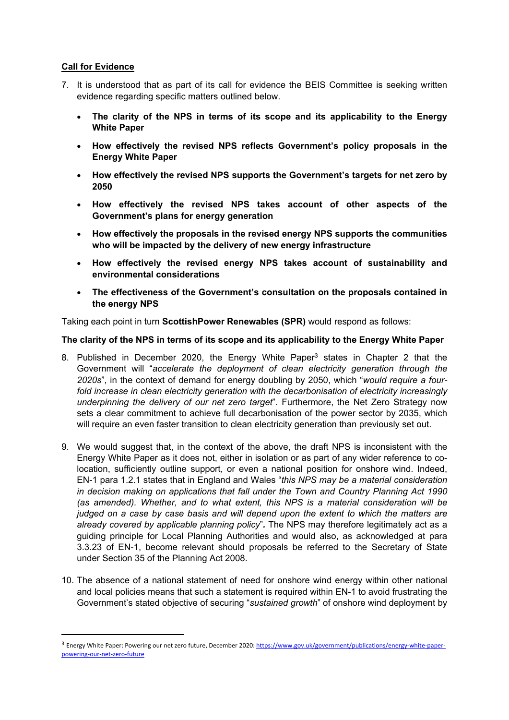# **Call for Evidence**

- 7. It is understood that as part of its call for evidence the BEIS Committee is seeking written evidence regarding specific matters outlined below.
	- **The clarity of the NPS in terms of its scope and its applicability to the Energy White Paper**
	- **How effectively the revised NPS reflects Government's policy proposals in the Energy White Paper**
	- **How effectively the revised NPS supports the Government's targets for net zero by 2050**
	- **How effectively the revised NPS takes account of other aspects of the Government's plans for energy generation**
	- **How effectively the proposals in the revised energy NPS supports the communities who will be impacted by the delivery of new energy infrastructure**
	- **How effectively the revised energy NPS takes account of sustainability and environmental considerations**
	- **The effectiveness of the Government's consultation on the proposals contained in the energy NPS**

Taking each point in turn **ScottishPower Renewables (SPR)** would respond as follows:

## **The clarity of the NPS in terms of its scope and its applicability to the Energy White Paper**

- 8. Published in December 2020, the Energy White Paper<sup>3</sup> states in Chapter 2 that the Government will "*accelerate the deployment of clean electricity generation through the 2020s*", in the context of demand for energy doubling by 2050, which "*would require a fourfold increase in clean electricity generation with the decarbonisation of electricity increasingly underpinning the delivery of our net zero target*". Furthermore, the Net Zero Strategy now sets a clear commitment to achieve full decarbonisation of the power sector by 2035, which will require an even faster transition to clean electricity generation than previously set out.
- 9. We would suggest that, in the context of the above, the draft NPS is inconsistent with the Energy White Paper as it does not, either in isolation or as part of any wider reference to colocation, sufficiently outline support, or even a national position for onshore wind. Indeed, EN-1 para 1.2.1 states that in England and Wales "*this NPS may be a material consideration in decision making on applications that fall under the Town and Country Planning Act 1990 (as amended). Whether, and to what extent, this NPS is a material consideration will be judged on a case by case basis and will depend upon the extent to which the matters are already covered by applicable planning policy*"*.* The NPS may therefore legitimately act as a guiding principle for Local Planning Authorities and would also, as acknowledged at para 3.3.23 of EN-1, become relevant should proposals be referred to the Secretary of State under Section 35 of the Planning Act 2008.
- 10. The absence of a national statement of need for onshore wind energy within other national and local policies means that such a statement is required within EN-1 to avoid frustrating the Government's stated objective of securing "*sustained growth*" of onshore wind deployment by

<sup>&</sup>lt;sup>3</sup> Energy White Paper: Powering our net zero future, December 2020: [https://www.gov.uk/government/publications/energy-white-paper](https://www.gov.uk/government/publications/energy-white-paper-powering-our-net-zero-future)[powering-our-net-zero-future](https://www.gov.uk/government/publications/energy-white-paper-powering-our-net-zero-future)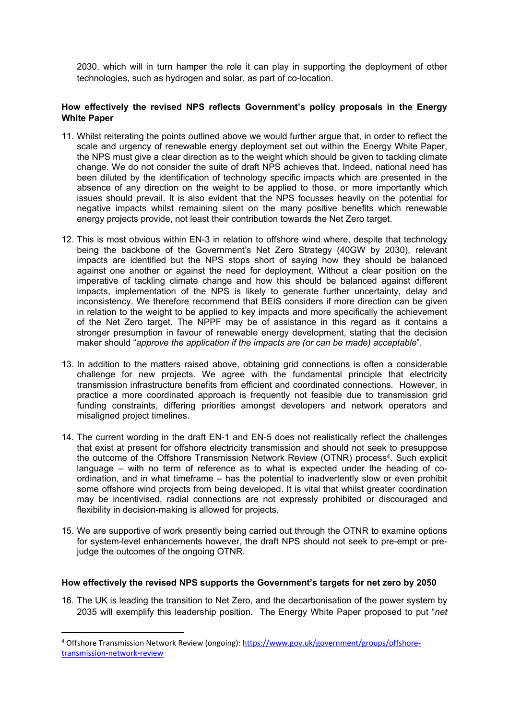2030, which will in turn hamper the role it can play in supporting the deployment of other technologies, such as hydrogen and solar, as part of co-location.

### **How effectively the revised NPS reflects Government's policy proposals in the Energy White Paper**

- 11. Whilst reiterating the points outlined above we would further argue that, in order to reflect the scale and urgency of renewable energy deployment set out within the Energy White Paper, the NPS must give a clear direction as to the weight which should be given to tackling climate change. We do not consider the suite of draft NPS achieves that. Indeed, national need has been diluted by the identification of technology specific impacts which are presented in the absence of any direction on the weight to be applied to those, or more importantly which issues should prevail. It is also evident that the NPS focusses heavily on the potential for negative impacts whilst remaining silent on the many positive benefits which renewable energy projects provide, not least their contribution towards the Net Zero target.
- 12. This is most obvious within EN-3 in relation to offshore wind where, despite that technology being the backbone of the Government's Net Zero Strategy (40GW by 2030), relevant impacts are identified but the NPS stops short of saying how they should be balanced against one another or against the need for deployment. Without a clear position on the imperative of tackling climate change and how this should be balanced against different impacts, implementation of the NPS is likely to generate further uncertainty, delay and inconsistency. We therefore recommend that BEIS considers if more direction can be given in relation to the weight to be applied to key impacts and more specifically the achievement of the Net Zero target. The NPPF may be of assistance in this regard as it contains a stronger presumption in favour of renewable energy development, stating that the decision maker should "*approve the application if the impacts are (or can be made) acceptable*".
- 13. In addition to the matters raised above, obtaining grid connections is often a considerable challenge for new projects. We agree with the fundamental principle that electricity transmission infrastructure benefits from efficient and coordinated connections. However, in practice a more coordinated approach is frequently not feasible due to transmission grid funding constraints, differing priorities amongst developers and network operators and misaligned project timelines.
- 14. The current wording in the draft EN-1 and EN-5 does not realistically reflect the challenges that exist at present for offshore electricity transmission and should not seek to presuppose the outcome of the Offshore Transmission Network Review (OTNR) process<sup>4</sup>. Such explicit language – with no term of reference as to what is expected under the heading of coordination, and in what timeframe – has the potential to inadvertently slow or even prohibit some offshore wind projects from being developed. It is vital that whilst greater coordination may be incentivised, radial connections are not expressly prohibited or discouraged and flexibility in decision-making is allowed for projects.
- 15. We are supportive of work presently being carried out through the OTNR to examine options for system-level enhancements however, the draft NPS should not seek to pre-empt or prejudge the outcomes of the ongoing OTNR.

#### **How effectively the revised NPS supports the Government's targets for net zero by 2050**

16. The UK is leading the transition to Net Zero, and the decarbonisation of the power system by 2035 will exemplify this leadership position. The Energy White Paper proposed to put "*net*

<sup>4</sup> Offshore Transmission Network Review (ongoing): [https://www.gov.uk/government/groups/offshore](https://www.gov.uk/government/groups/offshore-transmission-network-review)[transmission-network-review](https://www.gov.uk/government/groups/offshore-transmission-network-review)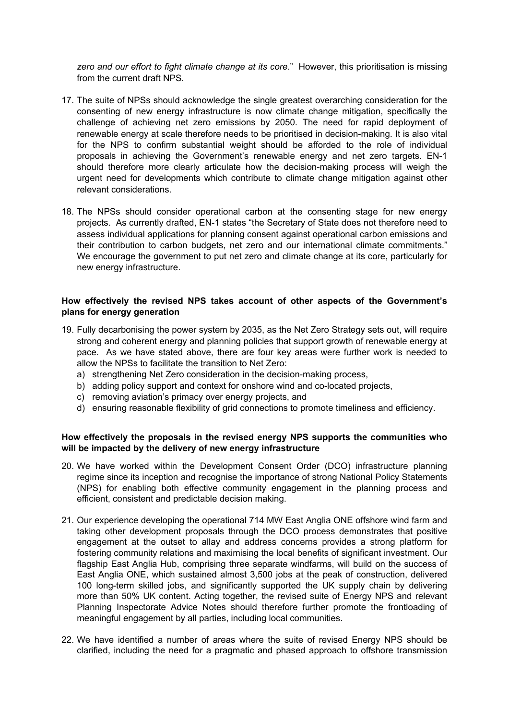*zero and our effort to fight climate change at its core*." However, this prioritisation is missing from the current draft NPS.

- 17. The suite of NPSs should acknowledge the single greatest overarching consideration for the consenting of new energy infrastructure is now climate change mitigation, specifically the challenge of achieving net zero emissions by 2050. The need for rapid deployment of renewable energy at scale therefore needs to be prioritised in decision-making. It is also vital for the NPS to confirm substantial weight should be afforded to the role of individual proposals in achieving the Government's renewable energy and net zero targets. EN-1 should therefore more clearly articulate how the decision-making process will weigh the urgent need for developments which contribute to climate change mitigation against other relevant considerations.
- 18. The NPSs should consider operational carbon at the consenting stage for new energy projects. As currently drafted, EN-1 states "the Secretary of State does not therefore need to assess individual applications for planning consent against operational carbon emissions and their contribution to carbon budgets, net zero and our international climate commitments." We encourage the government to put net zero and climate change at its core, particularly for new energy infrastructure.

### **How effectively the revised NPS takes account of other aspects of the Government's plans for energy generation**

- 19. Fully decarbonising the power system by 2035, as the Net Zero Strategy sets out, will require strong and coherent energy and planning policies that support growth of renewable energy at pace. As we have stated above, there are four key areas were further work is needed to allow the NPSs to facilitate the transition to Net Zero:
	- a) strengthening Net Zero consideration in the decision-making process,
	- b) adding policy support and context for onshore wind and co-located projects,
	- c) removing aviation's primacy over energy projects, and
	- d) ensuring reasonable flexibility of grid connections to promote timeliness and efficiency.

#### **How effectively the proposals in the revised energy NPS supports the communities who will be impacted by the delivery of new energy infrastructure**

- 20. We have worked within the Development Consent Order (DCO) infrastructure planning regime since its inception and recognise the importance of strong National Policy Statements (NPS) for enabling both effective community engagement in the planning process and efficient, consistent and predictable decision making.
- 21. Our experience developing the operational 714 MW East Anglia ONE offshore wind farm and taking other development proposals through the DCO process demonstrates that positive engagement at the outset to allay and address concerns provides a strong platform for fostering community relations and maximising the local benefits of significant investment. Our flagship East Anglia Hub, comprising three separate windfarms, will build on the success of East Anglia ONE, which sustained almost 3,500 jobs at the peak of construction, delivered 100 long-term skilled jobs, and significantly supported the UK supply chain by delivering more than 50% UK content. Acting together, the revised suite of Energy NPS and relevant Planning Inspectorate Advice Notes should therefore further promote the frontloading of meaningful engagement by all parties, including local communities.
- 22. We have identified a number of areas where the suite of revised Energy NPS should be clarified, including the need for a pragmatic and phased approach to offshore transmission